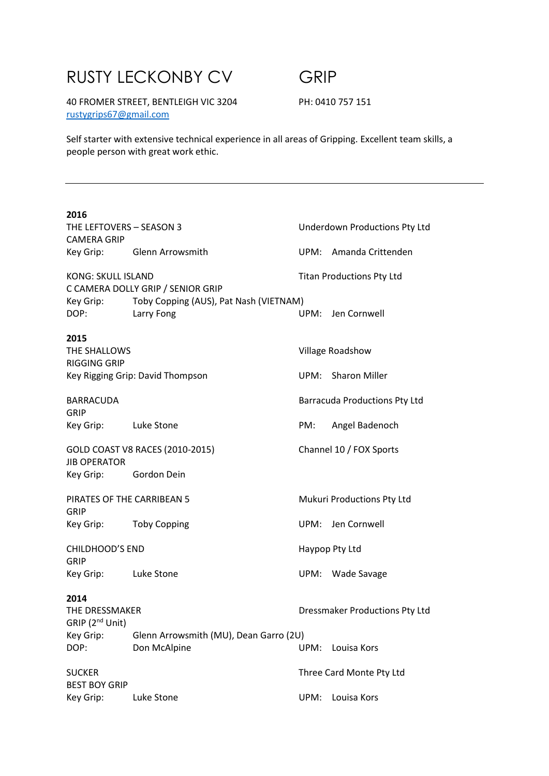# RUSTY LECKONBY CV GRIP

40 FROMER STREET, BENTLEIGH VIC 3204 PH: 0410 757 151 rustygrips67@gmail.com

Self starter with extensive technical experience in all areas of Gripping. Excellent team skills, a people person with great work ethic.

| 2016<br>THE LEFTOVERS - SEASON 3                               |                                                        |                                  | Underdown Productions Pty Ltd |
|----------------------------------------------------------------|--------------------------------------------------------|----------------------------------|-------------------------------|
| <b>CAMERA GRIP</b>                                             |                                                        |                                  |                               |
|                                                                | Key Grip: Glenn Arrowsmith                             |                                  | UPM: Amanda Crittenden        |
| <b>KONG: SKULL ISLAND</b><br>C CAMERA DOLLY GRIP / SENIOR GRIP |                                                        | <b>Titan Productions Pty Ltd</b> |                               |
| Key Grip:<br>DOP:                                              | Toby Copping (AUS), Pat Nash (VIETNAM)<br>Larry Fong   |                                  | UPM: Jen Cornwell             |
| 2015<br>THE SHALLOWS<br><b>RIGGING GRIP</b>                    |                                                        |                                  | Village Roadshow              |
|                                                                | Key Rigging Grip: David Thompson                       |                                  | UPM: Sharon Miller            |
| <b>BARRACUDA</b><br>GRIP                                       |                                                        |                                  | Barracuda Productions Pty Ltd |
| Key Grip: Luke Stone                                           |                                                        | PM:                              | Angel Badenoch                |
| GOLD COAST V8 RACES (2010-2015)<br><b>JIB OPERATOR</b>         |                                                        |                                  | Channel 10 / FOX Sports       |
| Key Grip: Gordon Dein                                          |                                                        |                                  |                               |
| PIRATES OF THE CARRIBEAN 5<br>GRIP                             |                                                        |                                  | Mukuri Productions Pty Ltd    |
| Key Grip: Toby Copping                                         |                                                        |                                  | UPM: Jen Cornwell             |
| <b>CHILDHOOD'S END</b><br><b>GRIP</b>                          |                                                        | Haypop Pty Ltd                   |                               |
| Key Grip: Luke Stone                                           |                                                        |                                  | UPM: Wade Savage              |
| 2014<br>THE DRESSMAKER<br>GRIP (2 <sup>nd</sup> Unit)          |                                                        | Dressmaker Productions Pty Ltd   |                               |
| Key Grip:<br>DOP:                                              | Glenn Arrowsmith (MU), Dean Garro (2U)<br>Don McAlpine | UPM:                             | Louisa Kors                   |
| <b>SUCKER</b><br><b>BEST BOY GRIP</b>                          |                                                        |                                  | Three Card Monte Pty Ltd      |
| Key Grip:                                                      | Luke Stone                                             | UPM:                             | Louisa Kors                   |